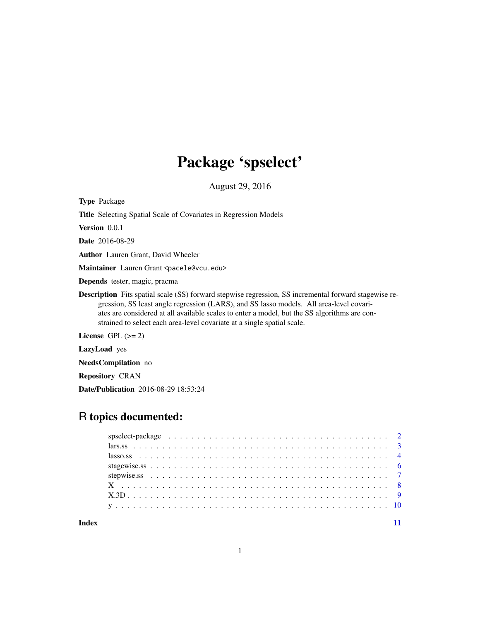# Package 'spselect'

August 29, 2016

Type Package

Title Selecting Spatial Scale of Covariates in Regression Models

Version 0.0.1

Date 2016-08-29

Author Lauren Grant, David Wheeler

Maintainer Lauren Grant <pacele@vcu.edu>

Depends tester, magic, pracma

Description Fits spatial scale (SS) forward stepwise regression, SS incremental forward stagewise regression, SS least angle regression (LARS), and SS lasso models. All area-level covariates are considered at all available scales to enter a model, but the SS algorithms are constrained to select each area-level covariate at a single spatial scale.

License  $GPL (= 2)$ 

LazyLoad yes

NeedsCompilation no

Repository CRAN

Date/Publication 2016-08-29 18:53:24

# R topics documented:

**Index** [11](#page-10-0)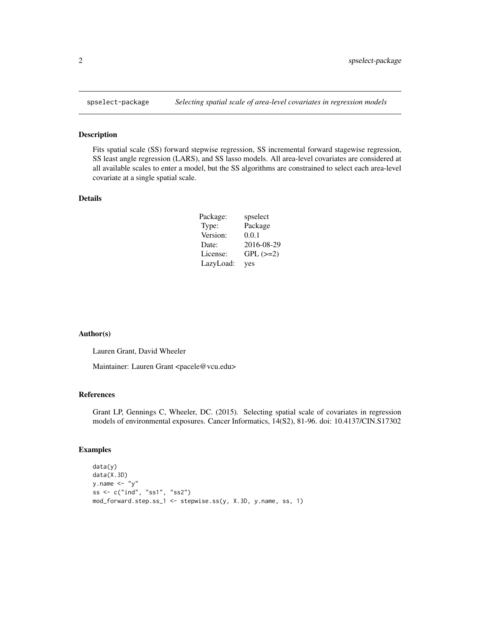<span id="page-1-0"></span>

### Description

Fits spatial scale (SS) forward stepwise regression, SS incremental forward stagewise regression, SS least angle regression (LARS), and SS lasso models. All area-level covariates are considered at all available scales to enter a model, but the SS algorithms are constrained to select each area-level covariate at a single spatial scale.

#### Details

| Package:  | spselect      |
|-----------|---------------|
| Type:     | Package       |
| Version:  | 0.0.1         |
| Date:     | 2016-08-29    |
| License:  | $GPL$ $(>=2)$ |
| LazyLoad: | yes           |

#### Author(s)

Lauren Grant, David Wheeler

Maintainer: Lauren Grant <pacele@vcu.edu>

#### References

Grant LP, Gennings C, Wheeler, DC. (2015). Selecting spatial scale of covariates in regression models of environmental exposures. Cancer Informatics, 14(S2), 81-96. doi: 10.4137/CIN.S17302

#### Examples

```
data(y)
data(X.3D)
y.name \leftarrow "y"ss <- c("ind", "ss1", "ss2")
mod_forward.step.ss_1 <- stepwise.ss(y, X.3D, y.name, ss, 1)
```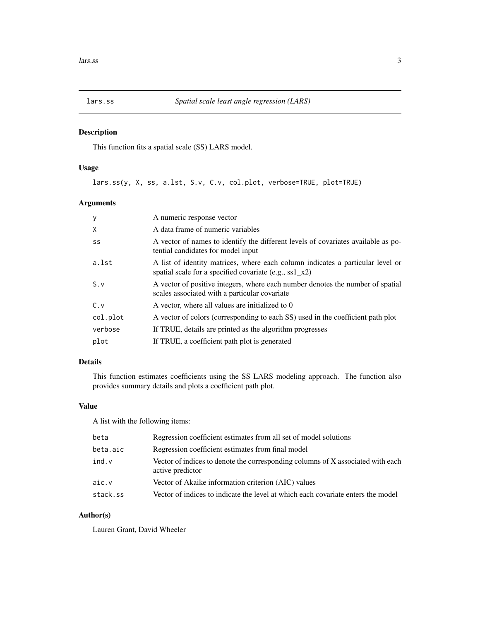<span id="page-2-0"></span>

## Description

This function fits a spatial scale (SS) LARS model.

## Usage

lars.ss(y, X, ss, a.lst, S.v, C.v, col.plot, verbose=TRUE, plot=TRUE)

## Arguments

| У        | A numeric response vector                                                                                                                   |
|----------|---------------------------------------------------------------------------------------------------------------------------------------------|
| X        | A data frame of numeric variables                                                                                                           |
| SS       | A vector of names to identify the different levels of covariates available as po-<br>tential candidates for model input                     |
| a.lst    | A list of identity matrices, where each column indicates a particular level or<br>spatial scale for a specified covariate (e.g., ss1 $x2$ ) |
| S.v      | A vector of positive integers, where each number denotes the number of spatial<br>scales associated with a particular covariate             |
| C.v      | A vector, where all values are initialized to 0                                                                                             |
| col.plot | A vector of colors (corresponding to each SS) used in the coefficient path plot                                                             |
| verbose  | If TRUE, details are printed as the algorithm progresses                                                                                    |
| plot     | If TRUE, a coefficient path plot is generated                                                                                               |

## Details

This function estimates coefficients using the SS LARS modeling approach. The function also provides summary details and plots a coefficient path plot.

## Value

A list with the following items:

| beta     | Regression coefficient estimates from all set of model solutions                                    |
|----------|-----------------------------------------------------------------------------------------------------|
| beta.aic | Regression coefficient estimates from final model                                                   |
| ind.v    | Vector of indices to denote the corresponding columns of X associated with each<br>active predictor |
| aic.v    | Vector of Akaike information criterion (AIC) values                                                 |
| stack.ss | Vector of indices to indicate the level at which each covariate enters the model                    |

## Author(s)

Lauren Grant, David Wheeler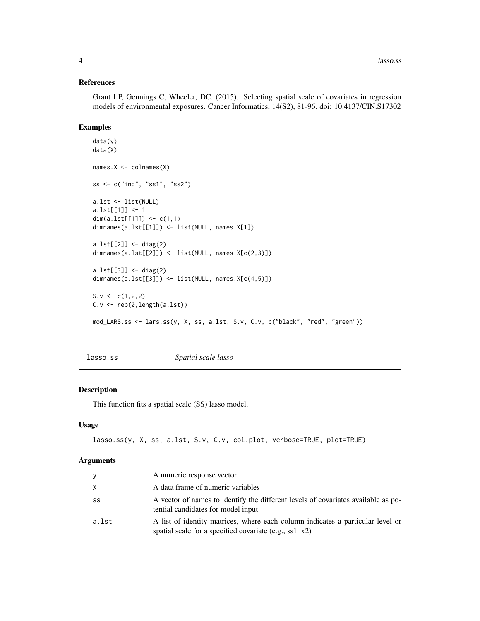#### <span id="page-3-0"></span>References

Grant LP, Gennings C, Wheeler, DC. (2015). Selecting spatial scale of covariates in regression models of environmental exposures. Cancer Informatics, 14(S2), 81-96. doi: 10.4137/CIN.S17302

#### Examples

```
data(y)
data(X)
names.X <- colnames(X)
ss <- c("ind", "ss1", "ss2")
a.lst <- list(NULL)
a.lst[[1]] <- 1
dim(a.lst[[1]]) <- c(1,1)
dimnames(a.lst[[1]]) <- list(NULL, names.X[1])
a.lst[[2]] <- diag(2)
dimnames(a.lst[[2]]) <- list(NULL, names.X[c(2,3)])
a.lst[[3]] <- diag(2)
dimnames(a.lst[[3]]) <- list(NULL, names.X[c(4,5)])
S.v \leftarrow c(1, 2, 2)C.v <- rep(0,length(a.lst))
mod_LARS.ss <- lars.ss(y, X, ss, a.lst, S.v, C.v, c("black", "red", "green"))
```
lasso.ss *Spatial scale lasso*

#### Description

This function fits a spatial scale (SS) lasso model.

#### Usage

lasso.ss(y, X, ss, a.lst, S.v, C.v, col.plot, verbose=TRUE, plot=TRUE)

#### Arguments

| У     | A numeric response vector                                                                                                                           |
|-------|-----------------------------------------------------------------------------------------------------------------------------------------------------|
| X     | A data frame of numeric variables                                                                                                                   |
| SS    | A vector of names to identify the different levels of covariates available as po-<br>tential candidates for model input                             |
| a.lst | A list of identity matrices, where each column indicates a particular level or<br>spatial scale for a specified covariate (e.g., $\text{ss1\_x2}$ ) |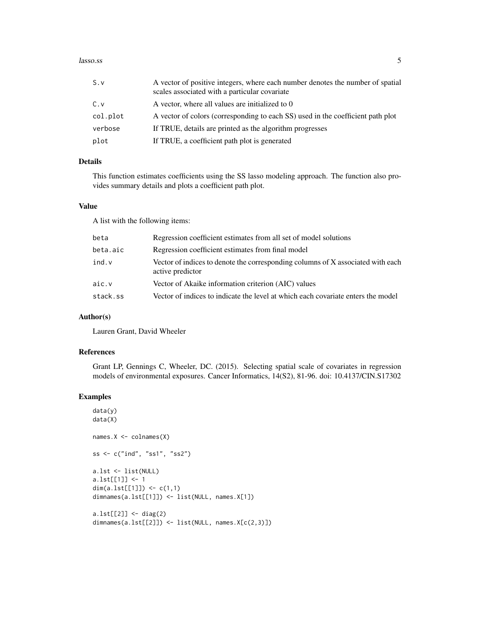#### lasso.ss 5

| S.v      | A vector of positive integers, where each number denotes the number of spatial<br>scales associated with a particular covariate |
|----------|---------------------------------------------------------------------------------------------------------------------------------|
| C.v      | A vector, where all values are initialized to 0                                                                                 |
| col.plot | A vector of colors (corresponding to each SS) used in the coefficient path plot                                                 |
| verbose  | If TRUE, details are printed as the algorithm progresses                                                                        |
| plot     | If TRUE, a coefficient path plot is generated                                                                                   |

#### Details

This function estimates coefficients using the SS lasso modeling approach. The function also provides summary details and plots a coefficient path plot.

## Value

A list with the following items:

| beta     | Regression coefficient estimates from all set of model solutions                                    |
|----------|-----------------------------------------------------------------------------------------------------|
| beta.aic | Regression coefficient estimates from final model                                                   |
| ind.v    | Vector of indices to denote the corresponding columns of X associated with each<br>active predictor |
| aic.v    | Vector of Akaike information criterion (AIC) values                                                 |
| stack.ss | Vector of indices to indicate the level at which each covariate enters the model                    |

#### Author(s)

Lauren Grant, David Wheeler

#### References

Grant LP, Gennings C, Wheeler, DC. (2015). Selecting spatial scale of covariates in regression models of environmental exposures. Cancer Informatics, 14(S2), 81-96. doi: 10.4137/CIN.S17302

## Examples

```
data(y)
data(X)
names.X <- colnames(X)
ss <- c("ind", "ss1", "ss2")
a.lst <- list(NULL)
a.lst[[1]] <- 1
dim(a.lst[[1]]) <- c(1,1)dimnames(a.lst[[1]]) <- list(NULL, names.X[1])
a.lst[[2]] <- diag(2)
dimnames(a.lst[[2]]) <- list(NULL, names.X[c(2,3)])
```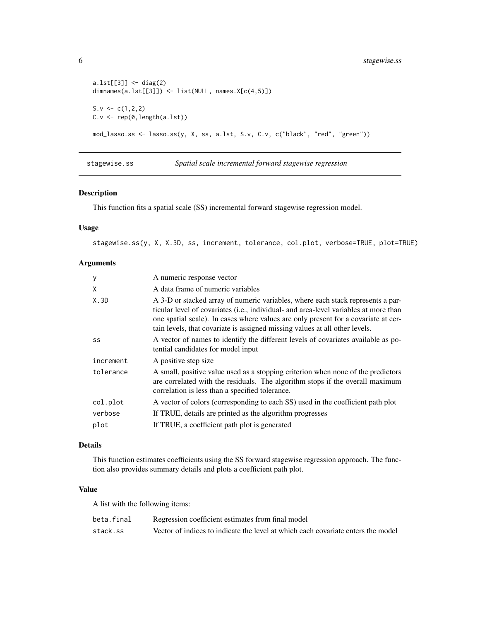```
a.lst[[3]] <- diag(2)
dimnames(a.lst[[3]]) <- list(NULL, names.X[c(4,5)])
S.v <-c(1,2,2)C.v \leftarrow rep(0, length(a.1st))mod_lasso.ss <- lasso.ss(y, X, ss, a.lst, S.v, C.v, c("black", "red", "green"))
```
stagewise.ss *Spatial scale incremental forward stagewise regression*

## Description

This function fits a spatial scale (SS) incremental forward stagewise regression model.

## Usage

stagewise.ss(y, X, X.3D, ss, increment, tolerance, col.plot, verbose=TRUE, plot=TRUE)

### Arguments

| y         | A numeric response vector                                                                                                                                                                                                                                                                                                                    |
|-----------|----------------------------------------------------------------------------------------------------------------------------------------------------------------------------------------------------------------------------------------------------------------------------------------------------------------------------------------------|
| X         | A data frame of numeric variables                                                                                                                                                                                                                                                                                                            |
| X.3D      | A 3-D or stacked array of numeric variables, where each stack represents a par-<br>ticular level of covariates (i.e., individual- and area-level variables at more than<br>one spatial scale). In cases where values are only present for a covariate at cer-<br>tain levels, that covariate is assigned missing values at all other levels. |
| SS        | A vector of names to identify the different levels of covariates available as po-<br>tential candidates for model input                                                                                                                                                                                                                      |
| increment | A positive step size                                                                                                                                                                                                                                                                                                                         |
| tolerance | A small, positive value used as a stopping criterion when none of the predictors<br>are correlated with the residuals. The algorithm stops if the overall maximum<br>correlation is less than a specified tolerance.                                                                                                                         |
| col.plot  | A vector of colors (corresponding to each SS) used in the coefficient path plot                                                                                                                                                                                                                                                              |
| verbose   | If TRUE, details are printed as the algorithm progresses                                                                                                                                                                                                                                                                                     |
| plot      | If TRUE, a coefficient path plot is generated                                                                                                                                                                                                                                                                                                |

## Details

This function estimates coefficients using the SS forward stagewise regression approach. The function also provides summary details and plots a coefficient path plot.

#### Value

A list with the following items:

| beta.final | Regression coefficient estimates from final model                                |
|------------|----------------------------------------------------------------------------------|
| stack.ss   | Vector of indices to indicate the level at which each covariate enters the model |

<span id="page-5-0"></span>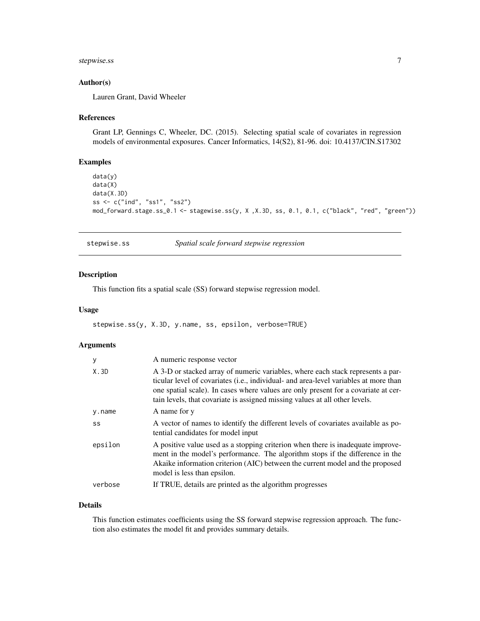## <span id="page-6-0"></span>stepwise.ss 7

#### Author(s)

Lauren Grant, David Wheeler

#### References

Grant LP, Gennings C, Wheeler, DC. (2015). Selecting spatial scale of covariates in regression models of environmental exposures. Cancer Informatics, 14(S2), 81-96. doi: 10.4137/CIN.S17302

#### Examples

```
data(y)
data(X)
data(X.3D)
ss <- c("ind", "ss1", "ss2")
mod_forward.stage.ss_0.1 <- stagewise.ss(y, X ,X.3D, ss, 0.1, 0.1, c("black", "red", "green"))
```
stepwise.ss *Spatial scale forward stepwise regression*

#### Description

This function fits a spatial scale (SS) forward stepwise regression model.

## Usage

stepwise.ss(y, X.3D, y.name, ss, epsilon, verbose=TRUE)

## Arguments

| y       | A numeric response vector                                                                                                                                                                                                                                                                                                                             |
|---------|-------------------------------------------------------------------------------------------------------------------------------------------------------------------------------------------------------------------------------------------------------------------------------------------------------------------------------------------------------|
| X.3D    | A 3-D or stacked array of numeric variables, where each stack represents a par-<br>ticular level of covariates ( <i>i.e.</i> , individual- and area-level variables at more than<br>one spatial scale). In cases where values are only present for a covariate at cer-<br>tain levels, that covariate is assigned missing values at all other levels. |
| y.name  | A name for y                                                                                                                                                                                                                                                                                                                                          |
| SS      | A vector of names to identify the different levels of covariates available as po-<br>tential candidates for model input                                                                                                                                                                                                                               |
| epsilon | A positive value used as a stopping criterion when there is inadequate improve-<br>ment in the model's performance. The algorithm stops if the difference in the<br>Akaike information criterion (AIC) between the current model and the proposed<br>model is less than epsilon.                                                                      |
| verbose | If TRUE, details are printed as the algorithm progresses                                                                                                                                                                                                                                                                                              |

#### Details

This function estimates coefficients using the SS forward stepwise regression approach. The function also estimates the model fit and provides summary details.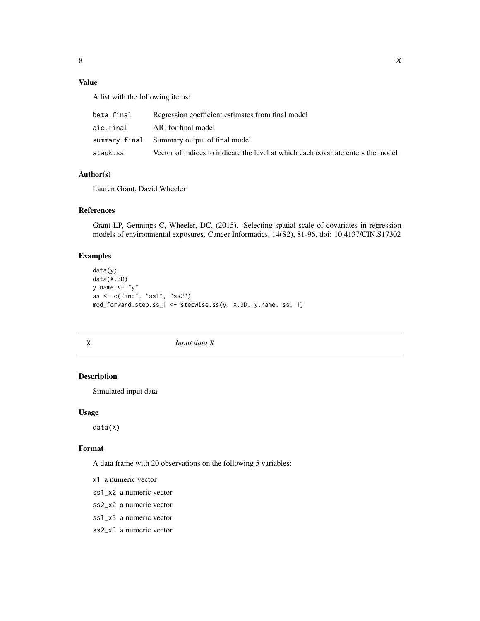## <span id="page-7-0"></span>Value

A list with the following items:

| beta.final | Regression coefficient estimates from final model                                |
|------------|----------------------------------------------------------------------------------|
| aic.final  | AIC for final model                                                              |
|            | summary.final Summary output of final model                                      |
| stack.ss   | Vector of indices to indicate the level at which each covariate enters the model |

## Author(s)

Lauren Grant, David Wheeler

## References

Grant LP, Gennings C, Wheeler, DC. (2015). Selecting spatial scale of covariates in regression models of environmental exposures. Cancer Informatics, 14(S2), 81-96. doi: 10.4137/CIN.S17302

## Examples

```
data(y)
data(X.3D)
y.name \leftarrow "y"ss <- c("ind", "ss1", "ss2")
mod_forward.step.ss_1 <- stepwise.ss(y, X.3D, y.name, ss, 1)
```
X *Input data X*

#### Description

Simulated input data

#### Usage

data(X)

#### Format

A data frame with 20 observations on the following 5 variables:

- x1 a numeric vector
- ss1\_x2 a numeric vector
- ss2\_x2 a numeric vector
- ss1\_x3 a numeric vector
- ss2\_x3 a numeric vector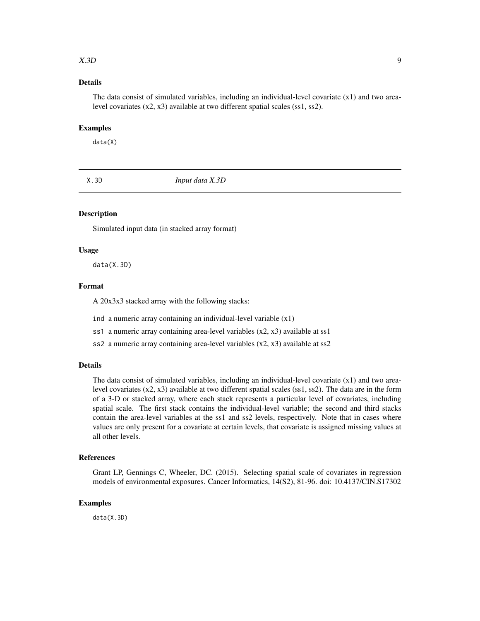#### <span id="page-8-0"></span> $X.3D$  9

## Details

The data consist of simulated variables, including an individual-level covariate  $(x1)$  and two arealevel covariates (x2, x3) available at two different spatial scales (ss1, ss2).

#### Examples

data(X)

X.3D *Input data X.3D*

## Description

Simulated input data (in stacked array format)

#### Usage

data(X.3D)

## Format

A 20x3x3 stacked array with the following stacks:

- ind a numeric array containing an individual-level variable (x1)
- ss1 a numeric array containing area-level variables (x2, x3) available at ss1
- ss2 a numeric array containing area-level variables (x2, x3) available at ss2

#### **Details**

The data consist of simulated variables, including an individual-level covariate (x1) and two arealevel covariates (x2, x3) available at two different spatial scales (ss1, ss2). The data are in the form of a 3-D or stacked array, where each stack represents a particular level of covariates, including spatial scale. The first stack contains the individual-level variable; the second and third stacks contain the area-level variables at the ss1 and ss2 levels, respectively. Note that in cases where values are only present for a covariate at certain levels, that covariate is assigned missing values at all other levels.

#### References

Grant LP, Gennings C, Wheeler, DC. (2015). Selecting spatial scale of covariates in regression models of environmental exposures. Cancer Informatics, 14(S2), 81-96. doi: 10.4137/CIN.S17302

#### Examples

data(X.3D)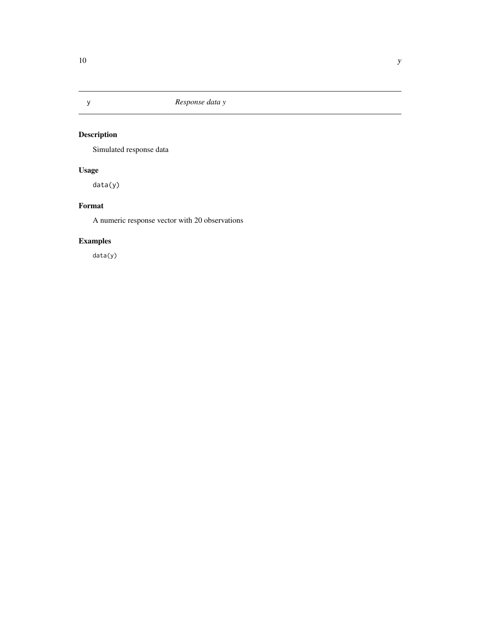<span id="page-9-0"></span>

# Description

Simulated response data

# Usage

data(y)

## Format

A numeric response vector with 20 observations

# Examples

data(y)